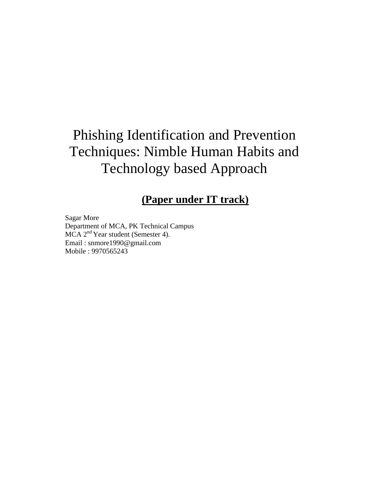# Phishing Identification and Prevention Techniques: Nimble Human Habits and Technology based Approach

## **(Paper under IT track)**

Sagar More Department of MCA, PK Technical Campus MCA 2<sup>nd</sup> Year student (Semester 4). Email : snmore1990@gmail.com Mobile : 9970565243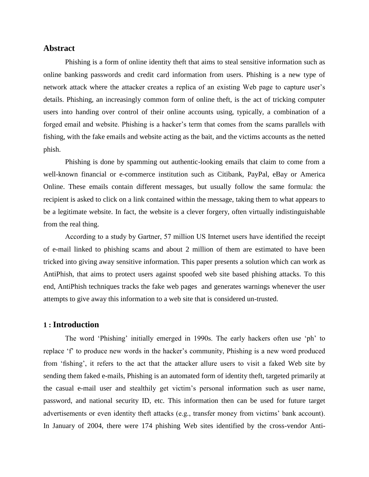#### **Abstract**

Phishing is a form of online identity theft that aims to steal sensitive information such as online banking passwords and credit card information from users. Phishing is a new type of network attack where the attacker creates a replica of an existing Web page to capture user's details. Phishing, an increasingly common form of online theft, is the act of tricking computer users into handing over control of their online accounts using, typically, a combination of a forged email and website. Phishing is a hacker"s term that comes from the scams parallels with fishing, with the fake emails and website acting as the bait, and the victims accounts as the netted phish.

Phishing is done by spamming out authentic-looking emails that claim to come from a well-known financial or e-commerce institution such as Citibank, PayPal, eBay or America Online. These emails contain different messages, but usually follow the same formula: the recipient is asked to click on a link contained within the message, taking them to what appears to be a legitimate website. In fact, the website is a clever forgery, often virtually indistinguishable from the real thing.

According to a study by Gartner, 57 million US Internet users have identified the receipt of e-mail linked to phishing scams and about 2 million of them are estimated to have been tricked into giving away sensitive information. This paper presents a solution which can work as AntiPhish, that aims to protect users against spoofed web site based phishing attacks. To this end, AntiPhish techniques tracks the fake web pages and generates warnings whenever the user attempts to give away this information to a web site that is considered un-trusted.

#### **1 : Introduction**

The word "Phishing" initially emerged in 1990s. The early hackers often use "ph" to replace "f" to produce new words in the hacker"s community, Phishing is a new word produced from 'fishing', it refers to the act that the attacker allure users to visit a faked Web site by sending them faked e-mails, Phishing is an automated form of identity theft, targeted primarily at the casual e-mail user and stealthily get victim"s personal information such as user name, password, and national security ID, etc. This information then can be used for future target advertisements or even identity theft attacks (e.g., transfer money from victims' bank account). In January of 2004, there were 174 phishing Web sites identified by the cross-vendor Anti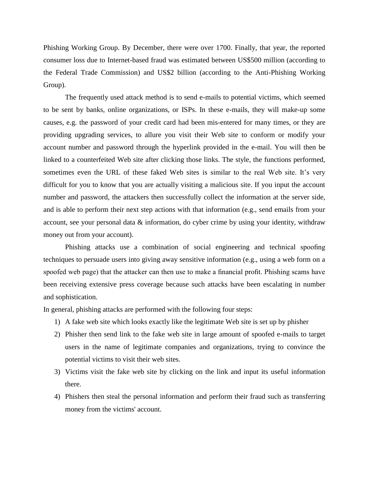Phishing Working Group. By December, there were over 1700. Finally, that year, the reported consumer loss due to Internet-based fraud was estimated between US\$500 million (according to the Federal Trade Commission) and US\$2 billion (according to the Anti-Phishing Working Group).

The frequently used attack method is to send e-mails to potential victims, which seemed to be sent by banks, online organizations, or ISPs. In these e-mails, they will make-up some causes, e.g. the password of your credit card had been mis-entered for many times, or they are providing upgrading services, to allure you visit their Web site to conform or modify your account number and password through the hyperlink provided in the e-mail. You will then be linked to a counterfeited Web site after clicking those links. The style, the functions performed, sometimes even the URL of these faked Web sites is similar to the real Web site. It's very difficult for you to know that you are actually visiting a malicious site. If you input the account number and password, the attackers then successfully collect the information at the server side, and is able to perform their next step actions with that information (e.g., send emails from your account, see your personal data & information, do cyber crime by using your identity, withdraw money out from your account).

Phishing attacks use a combination of social engineering and technical spoofing techniques to persuade users into giving away sensitive information (e.g., using a web form on a spoofed web page) that the attacker can then use to make a financial profit. Phishing scams have been receiving extensive press coverage because such attacks have been escalating in number and sophistication.

In general, phishing attacks are performed with the following four steps:

- 1) A fake web site which looks exactly like the legitimate Web site is set up by phisher
- 2) Phisher then send link to the fake web site in large amount of spoofed e-mails to target users in the name of legitimate companies and organizations, trying to convince the potential victims to visit their web sites.
- 3) Victims visit the fake web site by clicking on the link and input its useful information there.
- 4) Phishers then steal the personal information and perform their fraud such as transferring money from the victims' account.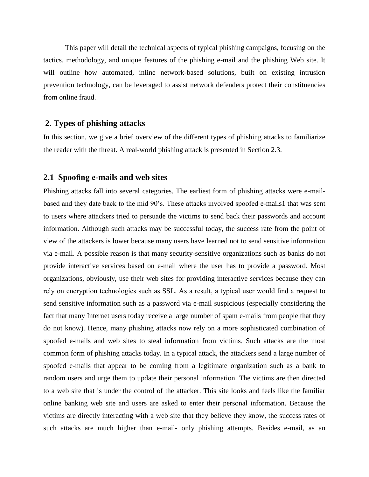This paper will detail the technical aspects of typical phishing campaigns, focusing on the tactics, methodology, and unique features of the phishing e-mail and the phishing Web site. It will outline how automated, inline network-based solutions, built on existing intrusion prevention technology, can be leveraged to assist network defenders protect their constituencies from online fraud.

## **2. Types of phishing attacks**

In this section, we give a brief overview of the different types of phishing attacks to familiarize the reader with the threat. A real-world phishing attack is presented in Section 2.3.

#### **2.1 Spoofing e-mails and web sites**

Phishing attacks fall into several categories. The earliest form of phishing attacks were e-mailbased and they date back to the mid 90"s. These attacks involved spoofed e-mails1 that was sent to users where attackers tried to persuade the victims to send back their passwords and account information. Although such attacks may be successful today, the success rate from the point of view of the attackers is lower because many users have learned not to send sensitive information via e-mail. A possible reason is that many security-sensitive organizations such as banks do not provide interactive services based on e-mail where the user has to provide a password. Most organizations, obviously, use their web sites for providing interactive services because they can rely on encryption technologies such as SSL. As a result, a typical user would find a request to send sensitive information such as a password via e-mail suspicious (especially considering the fact that many Internet users today receive a large number of spam e-mails from people that they do not know). Hence, many phishing attacks now rely on a more sophisticated combination of spoofed e-mails and web sites to steal information from victims. Such attacks are the most common form of phishing attacks today. In a typical attack, the attackers send a large number of spoofed e-mails that appear to be coming from a legitimate organization such as a bank to random users and urge them to update their personal information. The victims are then directed to a web site that is under the control of the attacker. This site looks and feels like the familiar online banking web site and users are asked to enter their personal information. Because the victims are directly interacting with a web site that they believe they know, the success rates of such attacks are much higher than e-mail- only phishing attempts. Besides e-mail, as an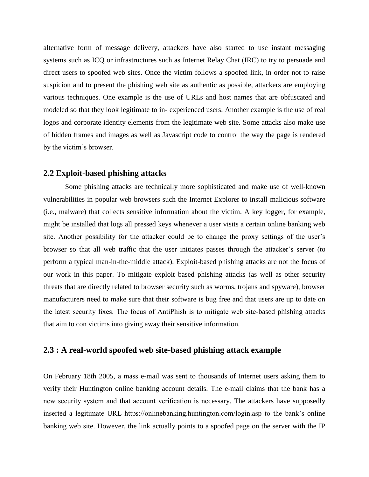alternative form of message delivery, attackers have also started to use instant messaging systems such as ICQ or infrastructures such as Internet Relay Chat (IRC) to try to persuade and direct users to spoofed web sites. Once the victim follows a spoofed link, in order not to raise suspicion and to present the phishing web site as authentic as possible, attackers are employing various techniques. One example is the use of URLs and host names that are obfuscated and modeled so that they look legitimate to in- experienced users. Another example is the use of real logos and corporate identity elements from the legitimate web site. Some attacks also make use of hidden frames and images as well as Javascript code to control the way the page is rendered by the victim"s browser.

## **2.2 Exploit-based phishing attacks**

Some phishing attacks are technically more sophisticated and make use of well-known vulnerabilities in popular web browsers such the Internet Explorer to install malicious software (i.e., malware) that collects sensitive information about the victim. A key logger, for example, might be installed that logs all pressed keys whenever a user visits a certain online banking web site. Another possibility for the attacker could be to change the proxy settings of the user's browser so that all web traffic that the user initiates passes through the attacker's server (to perform a typical man-in-the-middle attack). Exploit-based phishing attacks are not the focus of our work in this paper. To mitigate exploit based phishing attacks (as well as other security threats that are directly related to browser security such as worms, trojans and spyware), browser manufacturers need to make sure that their software is bug free and that users are up to date on the latest security fixes. The focus of AntiPhish is to mitigate web site-based phishing attacks that aim to con victims into giving away their sensitive information.

### **2.3 : A real-world spoofed web site-based phishing attack example**

On February 18th 2005, a mass e-mail was sent to thousands of Internet users asking them to verify their Huntington online banking account details. The e-mail claims that the bank has a new security system and that account verification is necessary. The attackers have supposedly inserted a legitimate URL https://onlinebanking.huntington.com/login.asp to the bank"s online banking web site. However, the link actually points to a spoofed page on the server with the IP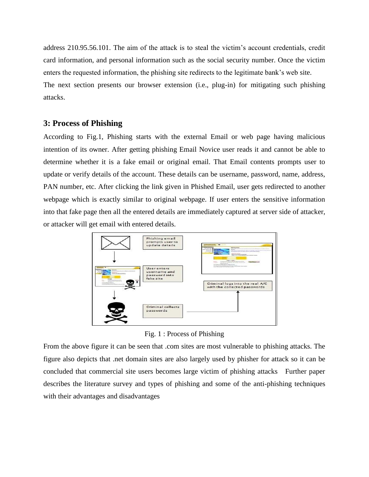address 210.95.56.101. The aim of the attack is to steal the victim"s account credentials, credit card information, and personal information such as the social security number. Once the victim enters the requested information, the phishing site redirects to the legitimate bank"s web site. The next section presents our browser extension (i.e., plug-in) for mitigating such phishing attacks.

## **3: Process of Phishing**

According to Fig.1, Phishing starts with the external Email or web page having malicious intention of its owner. After getting phishing Email Novice user reads it and cannot be able to determine whether it is a fake email or original email. That Email contents prompts user to update or verify details of the account. These details can be username, password, name, address, PAN number, etc. After clicking the link given in Phished Email, user gets redirected to another webpage which is exactly similar to original webpage. If user enters the sensitive information into that fake page then all the entered details are immediately captured at server side of attacker, or attacker will get email with entered details.



Fig. 1 : Process of Phishing

From the above figure it can be seen that .com sites are most vulnerable to phishing attacks. The figure also depicts that .net domain sites are also largely used by phisher for attack so it can be concluded that commercial site users becomes large victim of phishing attacks Further paper describes the literature survey and types of phishing and some of the anti-phishing techniques with their advantages and disadvantages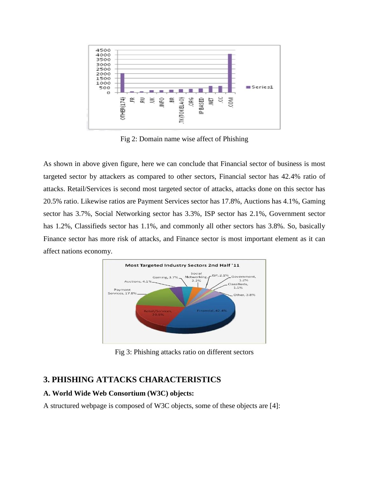

Fig 2: Domain name wise affect of Phishing

As shown in above given figure, here we can conclude that Financial sector of business is most targeted sector by attackers as compared to other sectors, Financial sector has 42.4% ratio of attacks. Retail/Services is second most targeted sector of attacks, attacks done on this sector has 20.5% ratio. Likewise ratios are Payment Services sector has 17.8%, Auctions has 4.1%, Gaming sector has 3.7%, Social Networking sector has 3.3%, ISP sector has 2.1%, Government sector has 1.2%, Classifieds sector has 1.1%, and commonly all other sectors has 3.8%. So, basically Finance sector has more risk of attacks, and Finance sector is most important element as it can affect nations economy.



Fig 3: Phishing attacks ratio on different sectors

## **3. PHISHING ATTACKS CHARACTERISTICS**

#### **A. World Wide Web Consortium (W3C) objects:**

A structured webpage is composed of W3C objects, some of these objects are [4]: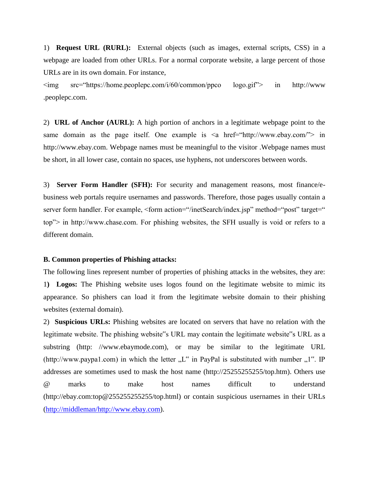1) **Request URL (RURL):** External objects (such as images, external scripts, CSS) in a webpage are loaded from other URLs. For a normal corporate website, a large percent of those URLs are in its own domain. For instance,

 $\langle \text{img} \quad \text{src} = \text{``https://home.peooplepc.com/i/60/common/ppc0} \quad \text{logo.grf'} \rangle$  in http://www .peoplepc.com.

2) **URL of Anchor (AURL):** A high portion of anchors in a legitimate webpage point to the same domain as the page itself. One example is  $\leq a$  href="http://www.ebay.com/"> in http://www.ebay.com. Webpage names must be meaningful to the visitor .Webpage names must be short, in all lower case, contain no spaces, use hyphens, not underscores between words.

3) **Server Form Handler (SFH):** For security and management reasons, most finance/ebusiness web portals require usernames and passwords. Therefore, those pages usually contain a server form handler. For example, <form action="/inetSearch/index.jsp" method="post" target=" top"> in http://www.chase.com. For phishing websites, the SFH usually is void or refers to a different domain.

#### **B. Common properties of Phishing attacks:**

The following lines represent number of properties of phishing attacks in the websites, they are: 1**) Logos:** The Phishing website uses logos found on the legitimate website to mimic its appearance. So phishers can load it from the legitimate website domain to their phishing websites (external domain).

2) **Suspicious URLs:** Phishing websites are located on servers that have no relation with the legitimate website. The phishing website"s URL may contain the legitimate website"s URL as a substring (http: //www.ebaymode.com), or may be similar to the legitimate URL (http://www.paypa1.com) in which the letter  $L^{\prime\prime}$  in PayPal is substituted with number  $L^{\prime\prime}$ . IP addresses are sometimes used to mask the host name (http://25255255255/top.htm). Others use @ marks to make host names difficult to understand (http://ebay.com:top@255255255255/top.html) or contain suspicious usernames in their URLs [\(http://middleman/http://www.ebay.com\)](http://middleman/http:/www.ebay.com).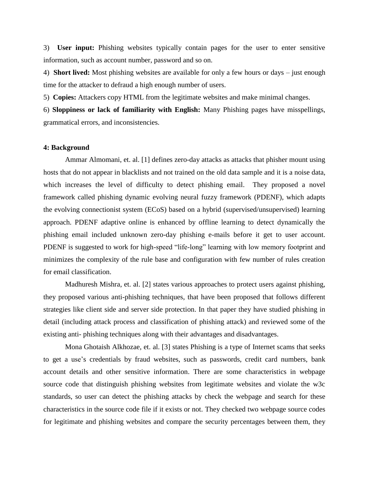3) **User input:** Phishing websites typically contain pages for the user to enter sensitive information, such as account number, password and so on.

4) **Short lived:** Most phishing websites are available for only a few hours or days – just enough time for the attacker to defraud a high enough number of users.

5) **Copies:** Attackers copy HTML from the legitimate websites and make minimal changes.

6) **Sloppiness or lack of familiarity with English:** Many Phishing pages have misspellings, grammatical errors, and inconsistencies.

#### **4: Background**

Ammar Almomani, et. al. [1] defines zero-day attacks as attacks that phisher mount using hosts that do not appear in blacklists and not trained on the old data sample and it is a noise data, which increases the level of difficulty to detect phishing email. They proposed a novel framework called phishing dynamic evolving neural fuzzy framework (PDENF), which adapts the evolving connectionist system (ECoS) based on a hybrid (supervised/unsupervised) learning approach. PDENF adaptive online is enhanced by offline learning to detect dynamically the phishing email included unknown zero-day phishing e-mails before it get to user account. PDENF is suggested to work for high-speed "life-long" learning with low memory footprint and minimizes the complexity of the rule base and configuration with few number of rules creation for email classification.

Madhuresh Mishra, et. al. [2] states various approaches to protect users against phishing, they proposed various anti-phishing techniques, that have been proposed that follows different strategies like client side and server side protection. In that paper they have studied phishing in detail (including attack process and classification of phishing attack) and reviewed some of the existing anti- phishing techniques along with their advantages and disadvantages.

Mona Ghotaish Alkhozae, et. al. [3] states Phishing is a type of Internet scams that seeks to get a use"s credentials by fraud websites, such as passwords, credit card numbers, bank account details and other sensitive information. There are some characteristics in webpage source code that distinguish phishing websites from legitimate websites and violate the w3c standards, so user can detect the phishing attacks by check the webpage and search for these characteristics in the source code file if it exists or not. They checked two webpage source codes for legitimate and phishing websites and compare the security percentages between them, they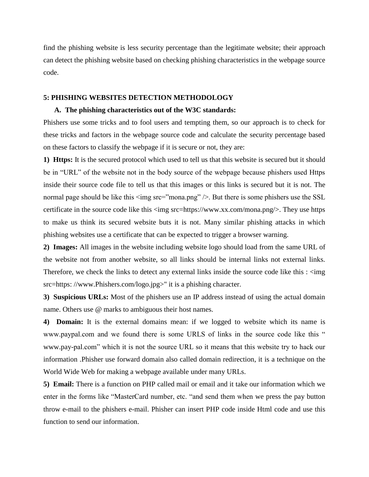find the phishing website is less security percentage than the legitimate website; their approach can detect the phishing website based on checking phishing characteristics in the webpage source code.

#### **5: PHISHING WEBSITES DETECTION METHODOLOGY**

#### **A. The phishing characteristics out of the W3C standards:**

Phishers use some tricks and to fool users and tempting them, so our approach is to check for these tricks and factors in the webpage source code and calculate the security percentage based on these factors to classify the webpage if it is secure or not, they are:

**1) Https:** It is the secured protocol which used to tell us that this website is secured but it should be in "URL" of the website not in the body source of the webpage because phishers used Https inside their source code file to tell us that this images or this links is secured but it is not. The normal page should be like this  $\langle \text{img src} \rangle$  mona.png"  $\langle \rangle$ . But there is some phishers use the SSL certificate in the source code like this  $\langle \text{img src=https://www.xx.com/mona.png}\rangle$ . They use https to make us think its secured website buts it is not. Many similar phishing attacks in which phishing websites use a certificate that can be expected to trigger a browser warning.

**2) Images:** All images in the website including website logo should load from the same URL of the website not from another website, so all links should be internal links not external links. Therefore, we check the links to detect any external links inside the source code like this :  $\langle$ img src=https: //www.Phishers.com/logo.jpg>" it is a phishing character.

**3) Suspicious URLs:** Most of the phishers use an IP address instead of using the actual domain name. Others use @ marks to ambiguous their host names.

**4) Domain:** It is the external domains mean: if we logged to website which its name is www.paypal.com and we found there is some URLS of links in the source code like this " www.pay-pal.com" which it is not the source URL so it means that this website try to hack our information .Phisher use forward domain also called domain redirection, it is a technique on the World Wide Web for making a webpage available under many URLs.

**5) Email:** There is a function on PHP called mail or email and it take our information which we enter in the forms like "MasterCard number, etc. "and send them when we press the pay button throw e-mail to the phishers e-mail. Phisher can insert PHP code inside Html code and use this function to send our information.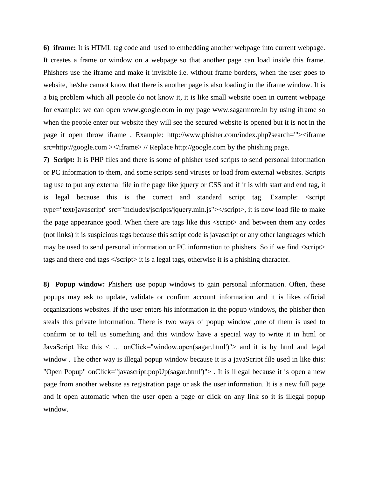**6) iframe:** It is HTML tag code and used to embedding another webpage into current webpage. It creates a frame or window on a webpage so that another page can load inside this frame. Phishers use the iframe and make it invisible i.e. without frame borders, when the user goes to website, he/she cannot know that there is another page is also loading in the iframe window. It is a big problem which all people do not know it, it is like small website open in current webpage for example: we can open www.google.com in my page www.sagarmore.in by using iframe so when the people enter our website they will see the secured website is opened but it is not in the page it open throw iframe . Example: http://www.phisher.com/index.php?search="'><iframe src=http://google.com ></iframe> // Replace http://google.com by the phishing page.

**7) Script:** It is PHP files and there is some of phisher used scripts to send personal information or PC information to them, and some scripts send viruses or load from external websites. Scripts tag use to put any external file in the page like jquery or CSS and if it is with start and end tag, it is legal because this is the correct and standard script tag. Example: <script type="text/javascript" src="includes/jscripts/jquery.min.js"></script>, it is now load file to make the page appearance good. When there are tags like this <script> and between them any codes (not links) it is suspicious tags because this script code is javascript or any other languages which may be used to send personal information or PC information to phishers. So if we find  $\langle$ script $\rangle$ tags and there end tags </script> it is a legal tags, otherwise it is a phishing character.

**8) Popup window:** Phishers use popup windows to gain personal information. Often, these popups may ask to update, validate or confirm account information and it is likes official organizations websites. If the user enters his information in the popup windows, the phisher then steals this private information. There is two ways of popup window ,one of them is used to confirm or to tell us something and this window have a special way to write it in html or JavaScript like this < … onClick="window.open(sagar.html')"> and it is by html and legal window. The other way is illegal popup window because it is a javaScript file used in like this: "Open Popup" onClick="javascript:popUp(sagar.html')"> . It is illegal because it is open a new page from another website as registration page or ask the user information. It is a new full page and it open automatic when the user open a page or click on any link so it is illegal popup window.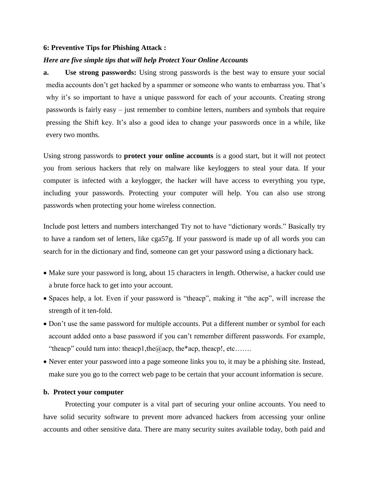#### **6: Preventive Tips for Phishing Attack :**

#### *Here are five simple tips that will help Protect Your Online Accounts*

**a. Use strong passwords:** Using strong passwords is the best way to ensure your social media accounts don"t get hacked by a spammer or someone who wants to embarrass you. That"s why it's so important to have a unique password for each of your accounts. Creating strong passwords is fairly easy – just remember to combine letters, numbers and symbols that require pressing the Shift key. It's also a good idea to change your passwords once in a while, like every two months.

Using strong passwords to **protect your online accounts** is a good start, but it will not protect you from serious hackers that rely on malware like keyloggers to steal your data. If your computer is infected with a keylogger, the hacker will have access to everything you type, including your passwords. Protecting your computer will help. You can also use strong passwords when protecting your home wireless connection.

Include post letters and numbers interchanged Try not to have "dictionary words." Basically try to have a random set of letters, like cga57g. If your password is made up of all words you can search for in the dictionary and find, someone can get your password using a dictionary hack.

- Make sure your password is long, about 15 characters in length. Otherwise, a hacker could use a brute force hack to get into your account.
- Spaces help, a lot. Even if your password is "theacp", making it "the acp", will increase the strength of it ten-fold.
- Don't use the same password for multiple accounts. Put a different number or symbol for each account added onto a base password if you can"t remember different passwords. For example, "theacp" could turn into: theacp1,the@acp, the\*acp, theacp!, etc.......
- Never enter your password into a page someone links you to, it may be a phishing site. Instead, make sure you go to the correct web page to be certain that your account information is secure.

#### **b. Protect your computer**

Protecting your computer is a vital part of securing your online accounts. You need to have solid security software to prevent more advanced hackers from accessing your online accounts and other sensitive data. There are many security suites available today, both paid and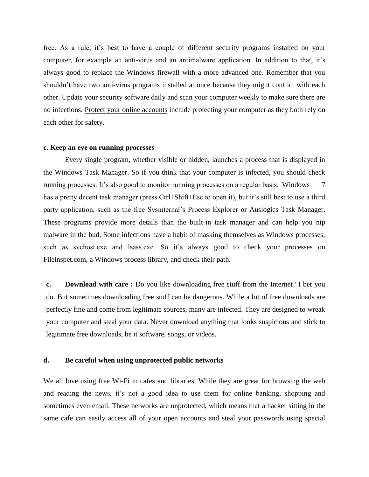free. As a rule, it's best to have a couple of different security programs installed on your computer, for example an anti-virus and an antimalware application. In addition to that, it's always good to replace the Windows firewall with a more advanced one. Remember that you shouldn"t have two anti-virus programs installed at once because they might conflict with each other. Update your security software daily and scan your computer weekly to make sure there are no infections. Protect your online accounts include protecting your computer as they both rely on each other for safety.

#### **c. Keep an eye on running processes**

Every single program, whether visible or hidden, launches a process that is displayed in the Windows Task Manager. So if you think that your computer is infected, you should check running processes. It's also good to monitor running processes on a regular basis. Windows 7 has a pretty decent task manager (press Ctrl+Shift+Esc to open it), but it's still best to use a third party application, such as the free Sysinternal"s Process Explorer or Auslogics Task Manager. These programs provide more details than the built-in task manager and can help you nip malware in the bud. Some infections have a habit of masking themselves as Windows processes, such as svchost.exe and lsass.exe. So it's always good to check your processes on Fileinspet.com, a Windows process library, and check their path.

**c. Download with care :** Do you like downloading free stuff from the Internet? I bet you do. But sometimes downloading free stuff can be dangerous. While a lot of free downloads are perfectly fine and come from legitimate sources, many are infected. They are designed to wreak your computer and steal your data. Never download anything that looks suspicious and stick to legitimate free downloads, be it software, songs, or videos.

#### **d. Be careful when using unprotected public networks**

We all love using free Wi-Fi in cafes and libraries. While they are great for browsing the web and reading the news, it's not a good idea to use them for online banking, shopping and sometimes even email. These networks are unprotected, which means that a hacker sitting in the same cafe can easily access all of your open accounts and steal your passwords using special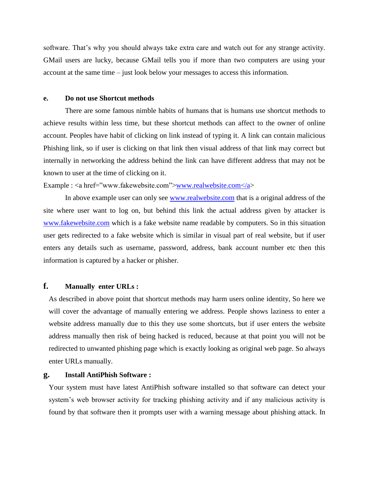software. That"s why you should always take extra care and watch out for any strange activity. GMail users are lucky, because GMail tells you if more than two computers are using your account at the same time – just look below your messages to access this information.

#### **e. Do not use Shortcut methods**

There are some famous nimble habits of humans that is humans use shortcut methods to achieve results within less time, but these shortcut methods can affect to the owner of online account. Peoples have habit of clicking on link instead of typing it. A link can contain malicious Phishing link, so if user is clicking on that link then visual address of that link may correct but internally in networking the address behind the link can have different address that may not be known to user at the time of clicking on it.

Example : <a href="www.fakewebsite.com">www.realwebsite.com</a>

In above example user can only see [www.realwebsite.com](http://www.realwebsite.com/) that is a original address of the site where user want to log on, but behind this link the actual address given by attacker is [www.fakewebsite.com](http://www.fakewebsite.com/) which is a fake website name readable by computers. So in this situation user gets redirected to a fake website which is similar in visual part of real website, but if user enters any details such as username, password, address, bank account number etc then this information is captured by a hacker or phisher.

## **f. Manually enter URLs :**

As described in above point that shortcut methods may harm users online identity, So here we will cover the advantage of manually entering we address. People shows laziness to enter a website address manually due to this they use some shortcuts, but if user enters the website address manually then risk of being hacked is reduced, because at that point you will not be redirected to unwanted phishing page which is exactly looking as original web page. So always enter URLs manually.

#### **g. Install AntiPhish Software :**

Your system must have latest AntiPhish software installed so that software can detect your system's web browser activity for tracking phishing activity and if any malicious activity is found by that software then it prompts user with a warning message about phishing attack. In